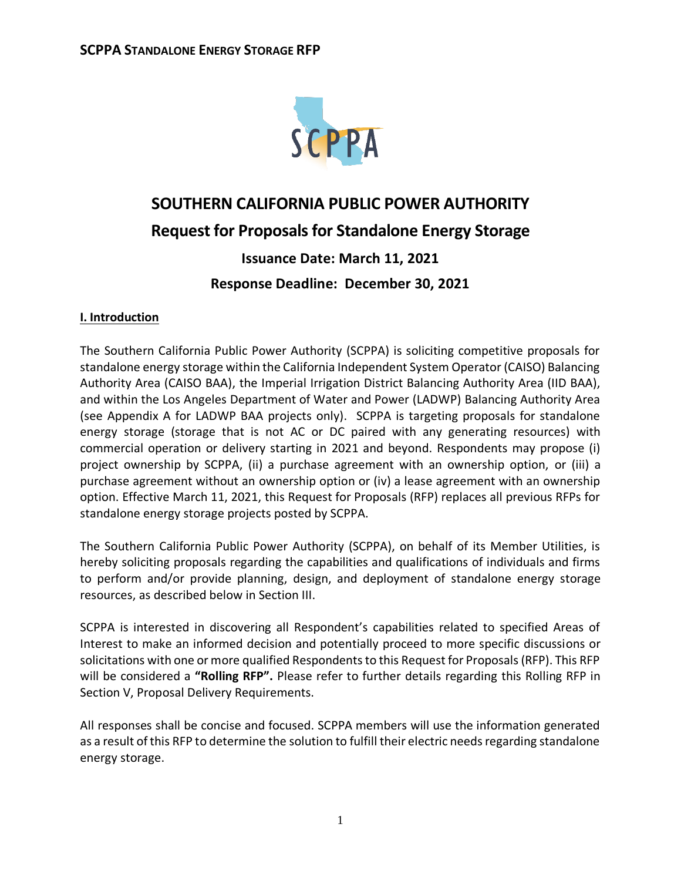

# **SOUTHERN CALIFORNIA PUBLIC POWER AUTHORITY Request for Proposals for Standalone Energy Storage**

# **Issuance Date: March 11, 2021 Response Deadline: December 30, 2021**

# **I. Introduction**

The Southern California Public Power Authority (SCPPA) is soliciting competitive proposals for standalone energy storage within the California Independent System Operator (CAISO) Balancing Authority Area (CAISO BAA), the Imperial Irrigation District Balancing Authority Area (IID BAA), and within the Los Angeles Department of Water and Power (LADWP) Balancing Authority Area (see Appendix A for LADWP BAA projects only). SCPPA is targeting proposals for standalone energy storage (storage that is not AC or DC paired with any generating resources) with commercial operation or delivery starting in 2021 and beyond. Respondents may propose (i) project ownership by SCPPA, (ii) a purchase agreement with an ownership option, or (iii) a purchase agreement without an ownership option or (iv) a lease agreement with an ownership option. Effective March 11, 2021, this Request for Proposals (RFP) replaces all previous RFPs for standalone energy storage projects posted by SCPPA.

The Southern California Public Power Authority (SCPPA), on behalf of its Member Utilities, is hereby soliciting proposals regarding the capabilities and qualifications of individuals and firms to perform and/or provide planning, design, and deployment of standalone energy storage resources, as described below in Section III.

SCPPA is interested in discovering all Respondent's capabilities related to specified Areas of Interest to make an informed decision and potentially proceed to more specific discussions or solicitations with one or more qualified Respondents to this Request for Proposals (RFP). This RFP will be considered a **"Rolling RFP".** Please refer to further details regarding this Rolling RFP in Section V, Proposal Delivery Requirements.

All responses shall be concise and focused. SCPPA members will use the information generated as a result of this RFP to determine the solution to fulfill their electric needs regarding standalone energy storage.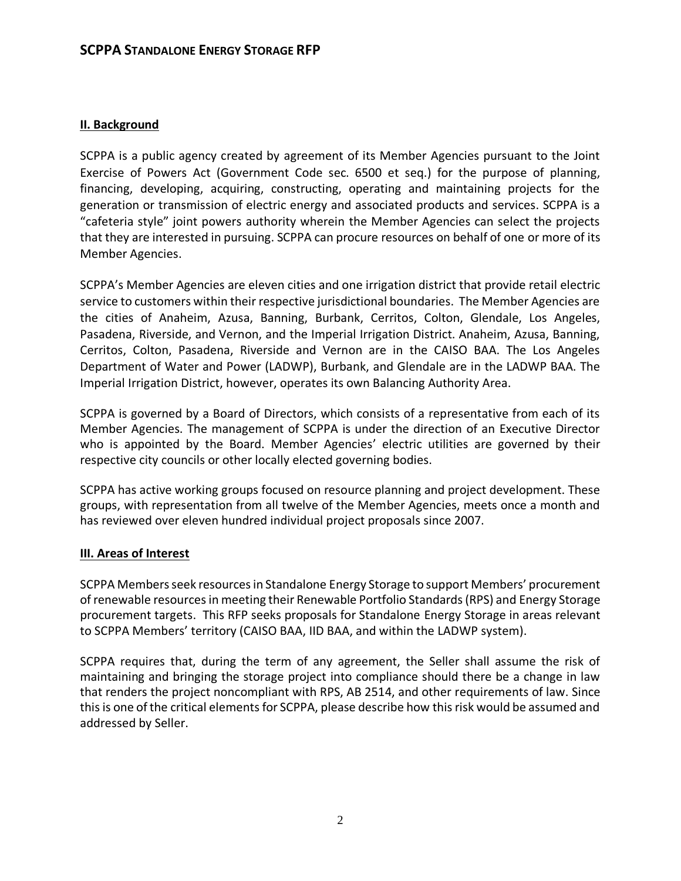#### **II. Background**

SCPPA is a public agency created by agreement of its Member Agencies pursuant to the Joint Exercise of Powers Act (Government Code sec. 6500 et seq.) for the purpose of planning, financing, developing, acquiring, constructing, operating and maintaining projects for the generation or transmission of electric energy and associated products and services. SCPPA is a "cafeteria style" joint powers authority wherein the Member Agencies can select the projects that they are interested in pursuing. SCPPA can procure resources on behalf of one or more of its Member Agencies.

SCPPA's Member Agencies are eleven cities and one irrigation district that provide retail electric service to customers within their respective jurisdictional boundaries. The Member Agencies are the cities of Anaheim, Azusa, Banning, Burbank, Cerritos, Colton, Glendale, Los Angeles, Pasadena, Riverside, and Vernon, and the Imperial Irrigation District. Anaheim, Azusa, Banning, Cerritos, Colton, Pasadena, Riverside and Vernon are in the CAISO BAA. The Los Angeles Department of Water and Power (LADWP), Burbank, and Glendale are in the LADWP BAA. The Imperial Irrigation District, however, operates its own Balancing Authority Area.

SCPPA is governed by a Board of Directors, which consists of a representative from each of its Member Agencies. The management of SCPPA is under the direction of an Executive Director who is appointed by the Board. Member Agencies' electric utilities are governed by their respective city councils or other locally elected governing bodies.

SCPPA has active working groups focused on resource planning and project development. These groups, with representation from all twelve of the Member Agencies, meets once a month and has reviewed over eleven hundred individual project proposals since 2007.

#### **III. Areas of Interest**

SCPPA Members seek resources in Standalone Energy Storage to support Members' procurement of renewable resources in meeting their Renewable Portfolio Standards (RPS) and Energy Storage procurement targets. This RFP seeks proposals for Standalone Energy Storage in areas relevant to SCPPA Members' territory (CAISO BAA, IID BAA, and within the LADWP system).

SCPPA requires that, during the term of any agreement, the Seller shall assume the risk of maintaining and bringing the storage project into compliance should there be a change in law that renders the project noncompliant with RPS, AB 2514, and other requirements of law. Since this is one of the critical elements for SCPPA, please describe how this risk would be assumed and addressed by Seller.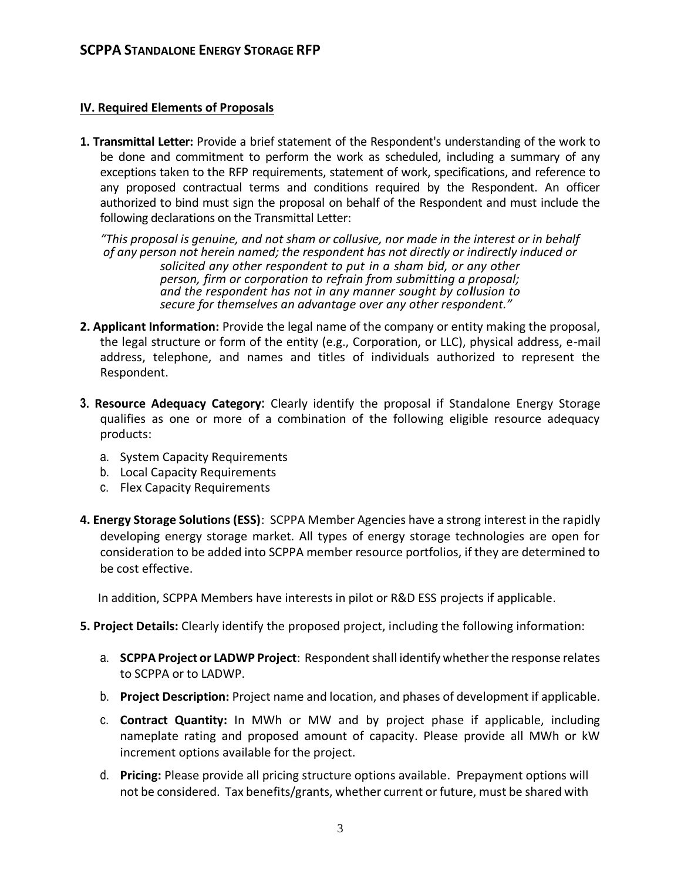#### **IV. Required Elements of Proposals**

**1. Transmittal Letter:** Provide a brief statement of the Respondent's understanding of the work to be done and commitment to perform the work as scheduled, including a summary of any exceptions taken to the RFP requirements, statement of work, specifications, and reference to any proposed contractual terms and conditions required by the Respondent. An officer authorized to bind must sign the proposal on behalf of the Respondent and must include the following declarations on the Transmittal Letter:

*"This proposal is genuine, and not sham or collusive, nor made in the interest or in behalf of any person not herein named; the respondent has not directly or indirectly induced or solicited any other respondent to put in a sham bid, or any other person, firm or corporation to refrain from submitting a proposal; and the respondent has not in any manner sought by collusion to secure for themselves an advantage over any other respondent."*

- **2. Applicant Information:** Provide the legal name of the company or entity making the proposal, the legal structure or form of the entity (e.g., Corporation, or LLC), physical address, e-mail address, telephone, and names and titles of individuals authorized to represent the Respondent.
- **3. Resource Adequacy Category:** Clearly identify the proposal if Standalone Energy Storage qualifies as one or more of a combination of the following eligible resource adequacy products:
	- a. System Capacity Requirements
	- b. Local Capacity Requirements
	- c. Flex Capacity Requirements
- **4. Energy Storage Solutions (ESS)**: SCPPA Member Agencies have a strong interest in the rapidly developing energy storage market. All types of energy storage technologies are open for consideration to be added into SCPPA member resource portfolios, if they are determined to be cost effective.

In addition, SCPPA Members have interests in pilot or R&D ESS projects if applicable.

- **5. Project Details:** Clearly identify the proposed project, including the following information:
	- a. **SCPPA Project or LADWP Project**: Respondent shall identify whether the response relates to SCPPA or to LADWP.
	- b. **Project Description:** Project name and location, and phases of development if applicable.
	- c. **Contract Quantity:** In MWh or MW and by project phase if applicable, including nameplate rating and proposed amount of capacity. Please provide all MWh or kW increment options available for the project.
	- d. **Pricing:** Please provide all pricing structure options available. Prepayment options will not be considered. Tax benefits/grants, whether current or future, must be shared with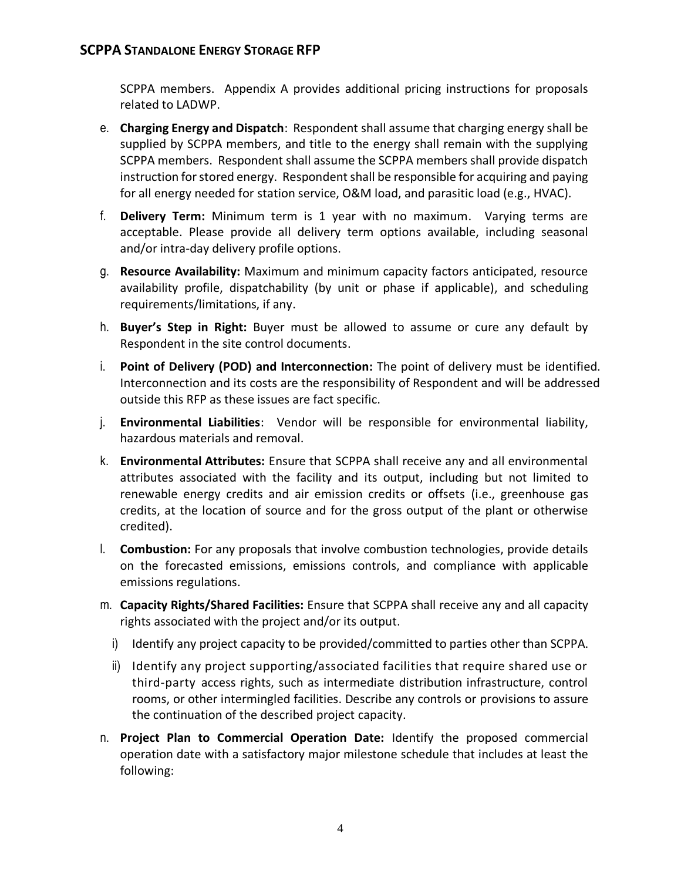SCPPA members. Appendix A provides additional pricing instructions for proposals related to LADWP.

- e. **Charging Energy and Dispatch**: Respondent shall assume that charging energy shall be supplied by SCPPA members, and title to the energy shall remain with the supplying SCPPA members. Respondent shall assume the SCPPA members shall provide dispatch instruction for stored energy. Respondent shall be responsible for acquiring and paying for all energy needed for station service, O&M load, and parasitic load (e.g., HVAC).
- f. **Delivery Term:** Minimum term is 1 year with no maximum. Varying terms are acceptable. Please provide all delivery term options available, including seasonal and/or intra-day delivery profile options.
- g. **Resource Availability:** Maximum and minimum capacity factors anticipated, resource availability profile, dispatchability (by unit or phase if applicable), and scheduling requirements/limitations, if any.
- h. **Buyer's Step in Right:** Buyer must be allowed to assume or cure any default by Respondent in the site control documents.
- i. **Point of Delivery (POD) and Interconnection:** The point of delivery must be identified. Interconnection and its costs are the responsibility of Respondent and will be addressed outside this RFP as these issues are fact specific.
- j. **Environmental Liabilities**: Vendor will be responsible for environmental liability, hazardous materials and removal.
- k. **Environmental Attributes:** Ensure that SCPPA shall receive any and all environmental attributes associated with the facility and its output, including but not limited to renewable energy credits and air emission credits or offsets (i.e., greenhouse gas credits, at the location of source and for the gross output of the plant or otherwise credited).
- l. **Combustion:** For any proposals that involve combustion technologies, provide details on the forecasted emissions, emissions controls, and compliance with applicable emissions regulations.
- m. **Capacity Rights/Shared Facilities:** Ensure that SCPPA shall receive any and all capacity rights associated with the project and/or its output.
	- i) Identify any project capacity to be provided/committed to parties other than SCPPA.
	- ii) Identify any project supporting/associated facilities that require shared use or third-party access rights, such as intermediate distribution infrastructure, control rooms, or other intermingled facilities. Describe any controls or provisions to assure the continuation of the described project capacity.
- n. **Project Plan to Commercial Operation Date:** Identify the proposed commercial operation date with a satisfactory major milestone schedule that includes at least the following: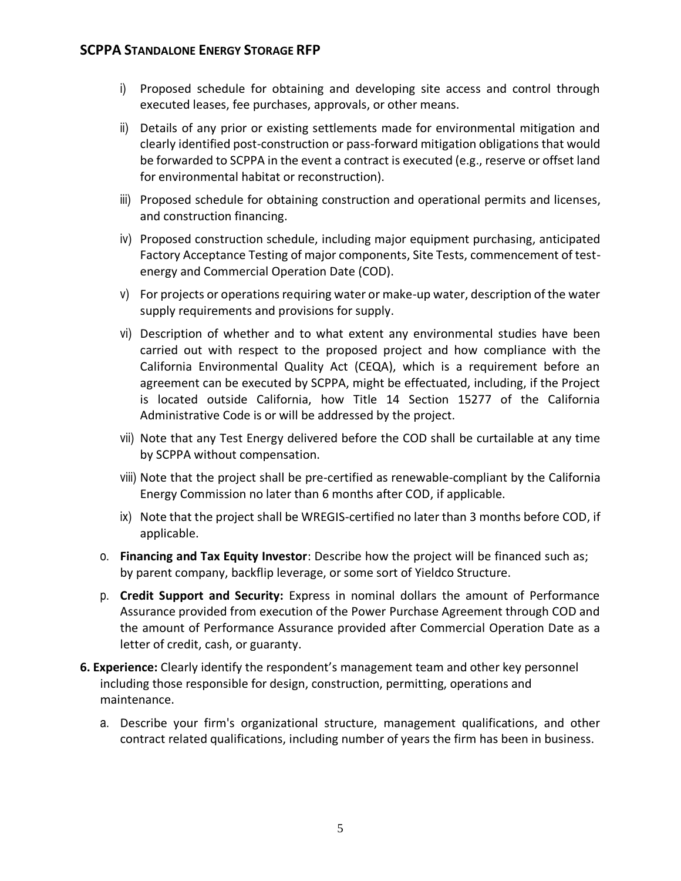- i) Proposed schedule for obtaining and developing site access and control through executed leases, fee purchases, approvals, or other means.
- ii) Details of any prior or existing settlements made for environmental mitigation and clearly identified post-construction or pass-forward mitigation obligations that would be forwarded to SCPPA in the event a contract is executed (e.g., reserve or offset land for environmental habitat or reconstruction).
- iii) Proposed schedule for obtaining construction and operational permits and licenses, and construction financing.
- iv) Proposed construction schedule, including major equipment purchasing, anticipated Factory Acceptance Testing of major components, Site Tests, commencement of testenergy and Commercial Operation Date (COD).
- v) For projects or operations requiring water or make-up water, description of the water supply requirements and provisions for supply.
- vi) Description of whether and to what extent any environmental studies have been carried out with respect to the proposed project and how compliance with the California Environmental Quality Act (CEQA), which is a requirement before an agreement can be executed by SCPPA, might be effectuated, including, if the Project is located outside California, how Title 14 Section 15277 of the California Administrative Code is or will be addressed by the project.
- vii) Note that any Test Energy delivered before the COD shall be curtailable at any time by SCPPA without compensation.
- viii) Note that the project shall be pre-certified as renewable-compliant by the California Energy Commission no later than 6 months after COD, if applicable.
- ix) Note that the project shall be WREGIS-certified no later than 3 months before COD, if applicable.
- o. **Financing and Tax Equity Investor**: Describe how the project will be financed such as; by parent company, backflip leverage, or some sort of Yieldco Structure.
- p. **Credit Support and Security:** Express in nominal dollars the amount of Performance Assurance provided from execution of the Power Purchase Agreement through COD and the amount of Performance Assurance provided after Commercial Operation Date as a letter of credit, cash, or guaranty.
- **6. Experience:** Clearly identify the respondent's management team and other key personnel including those responsible for design, construction, permitting, operations and maintenance.
	- a. Describe your firm's organizational structure, management qualifications, and other contract related qualifications, including number of years the firm has been in business.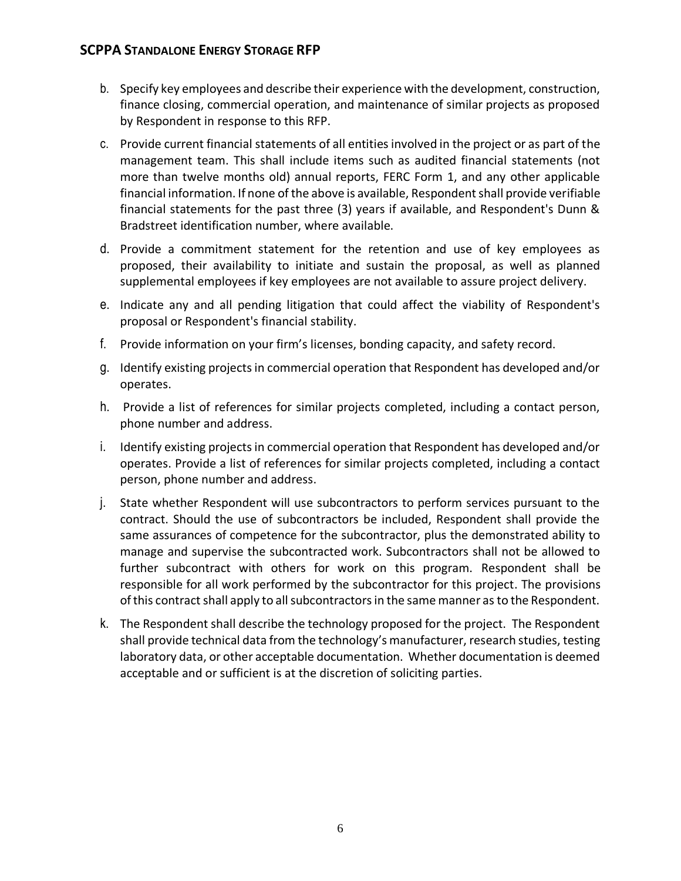- b. Specify key employees and describe their experience with the development, construction, finance closing, commercial operation, and maintenance of similar projects as proposed by Respondent in response to this RFP.
- c. Provide current financial statements of all entities involved in the project or as part of the management team. This shall include items such as audited financial statements (not more than twelve months old) annual reports, FERC Form 1, and any other applicable financial information. If none of the above is available, Respondent shall provide verifiable financial statements for the past three (3) years if available, and Respondent's Dunn & Bradstreet identification number, where available.
- d. Provide a commitment statement for the retention and use of key employees as proposed, their availability to initiate and sustain the proposal, as well as planned supplemental employees if key employees are not available to assure project delivery.
- e. Indicate any and all pending litigation that could affect the viability of Respondent's proposal or Respondent's financial stability.
- f. Provide information on your firm's licenses, bonding capacity, and safety record.
- g. Identify existing projects in commercial operation that Respondent has developed and/or operates.
- h. Provide a list of references for similar projects completed, including a contact person, phone number and address.
- i. Identify existing projects in commercial operation that Respondent has developed and/or operates. Provide a list of references for similar projects completed, including a contact person, phone number and address.
- j. State whether Respondent will use subcontractors to perform services pursuant to the contract. Should the use of subcontractors be included, Respondent shall provide the same assurances of competence for the subcontractor, plus the demonstrated ability to manage and supervise the subcontracted work. Subcontractors shall not be allowed to further subcontract with others for work on this program. Respondent shall be responsible for all work performed by the subcontractor for this project. The provisions of this contract shall apply to all subcontractors in the same manner as to the Respondent.
- k. The Respondent shall describe the technology proposed for the project. The Respondent shall provide technical data from the technology's manufacturer, research studies, testing laboratory data, or other acceptable documentation. Whether documentation is deemed acceptable and or sufficient is at the discretion of soliciting parties.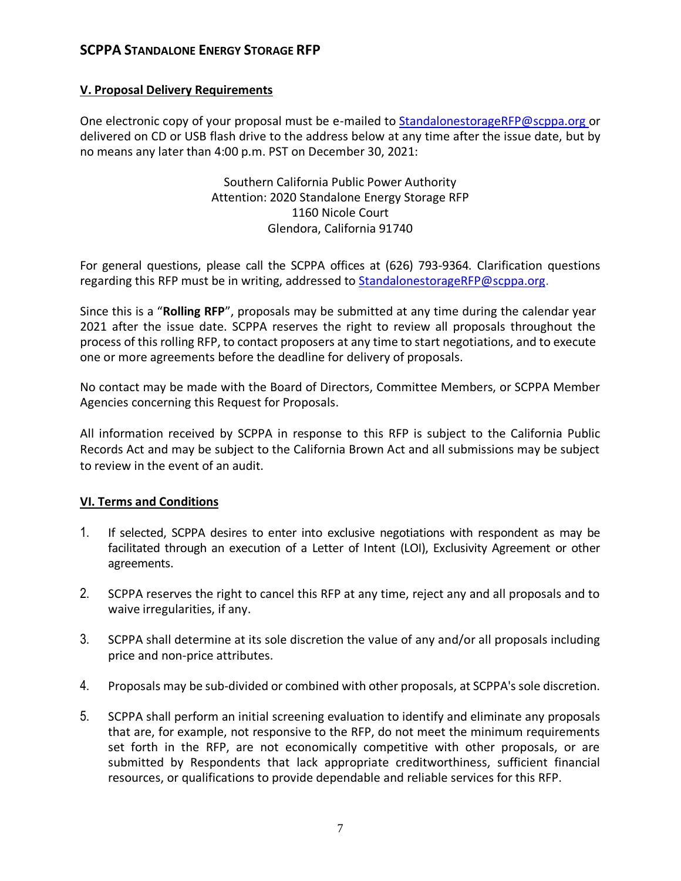#### **V. Proposal Delivery Requirements**

One electronic copy of your proposal must be e-mailed [to](mailto:to_knguyen@scppa.org) [StandalonestorageRFP@scppa.org](StandalonestorageRFP@scppa.org ) or delivered on CD or USB flash drive to the address below at any time after the issue date, but by no means any later than 4:00 p.m. PST on December 30, 2021:

> Southern California Public Power Authority Attention: 2020 Standalone Energy Storage RFP 1160 Nicole Court Glendora, California 91740

For general questions, please call the SCPPA offices at (626) 793-9364. Clarification questions regarding this RFP must be in writing, addressed to [StandalonestorageRFP@scppa.org.](mailto:StandalonestorageRFP@scppa.org)

Since this is a "**Rolling RFP**", proposals may be submitted at any time during the calendar year 2021 after the issue date. SCPPA reserves the right to review all proposals throughout the process of this rolling RFP, to contact proposers at any time to start negotiations, and to execute one or more agreements before the deadline for delivery of proposals.

No contact may be made with the Board of Directors, Committee Members, or SCPPA Member Agencies concerning this Request for Proposals.

All information received by SCPPA in response to this RFP is subject to the California Public Records Act and may be subject to the California Brown Act and all submissions may be subject to review in the event of an audit.

#### **VI. Terms and Conditions**

- 1. If selected, SCPPA desires to enter into exclusive negotiations with respondent as may be facilitated through an execution of a Letter of Intent (LOI), Exclusivity Agreement or other agreements.
- 2. SCPPA reserves the right to cancel this RFP at any time, reject any and all proposals and to waive irregularities, if any.
- 3. SCPPA shall determine at its sole discretion the value of any and/or all proposals including price and non-price attributes.
- 4. Proposals may be sub-divided or combined with other proposals, at SCPPA's sole discretion.
- 5. SCPPA shall perform an initial screening evaluation to identify and eliminate any proposals that are, for example, not responsive to the RFP, do not meet the minimum requirements set forth in the RFP, are not economically competitive with other proposals, or are submitted by Respondents that lack appropriate creditworthiness, sufficient financial resources, or qualifications to provide dependable and reliable services for this RFP.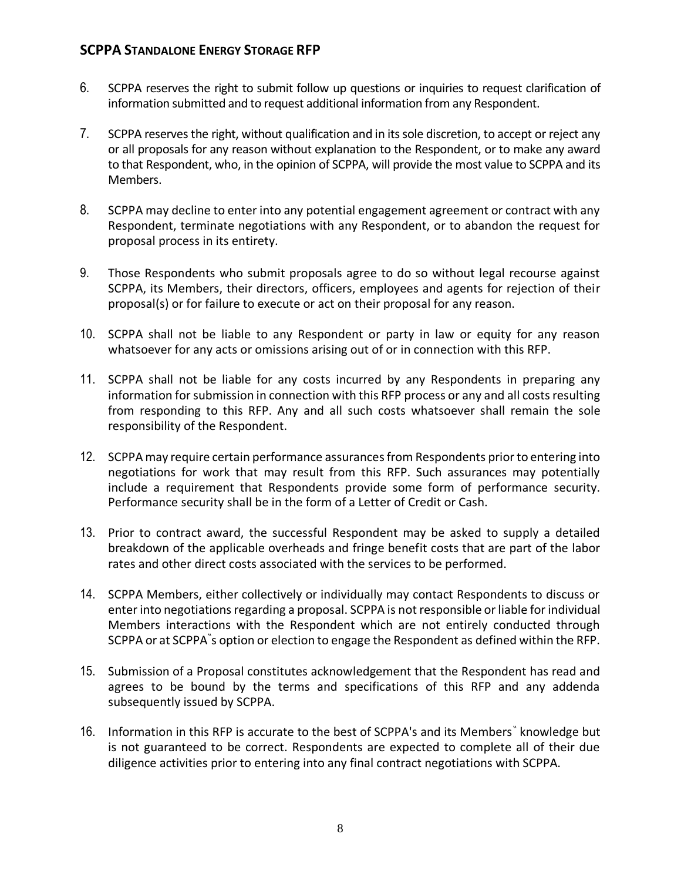- 6. SCPPA reserves the right to submit follow up questions or inquiries to request clarification of information submitted and to request additional information from any Respondent.
- 7. SCPPA reserves the right, without qualification and in its sole discretion, to accept or reject any or all proposals for any reason without explanation to the Respondent, or to make any award to that Respondent, who, in the opinion of SCPPA, will provide the most value to SCPPA and its Members.
- 8. SCPPA may decline to enter into any potential engagement agreement or contract with any Respondent, terminate negotiations with any Respondent, or to abandon the request for proposal process in its entirety.
- 9. Those Respondents who submit proposals agree to do so without legal recourse against SCPPA, its Members, their directors, officers, employees and agents for rejection of their proposal(s) or for failure to execute or act on their proposal for any reason.
- 10. SCPPA shall not be liable to any Respondent or party in law or equity for any reason whatsoever for any acts or omissions arising out of or in connection with this RFP.
- 11. SCPPA shall not be liable for any costs incurred by any Respondents in preparing any information for submission in connection with this RFP process or any and all costs resulting from responding to this RFP. Any and all such costs whatsoever shall remain the sole responsibility of the Respondent.
- 12. SCPPA may require certain performance assurances from Respondents prior to entering into negotiations for work that may result from this RFP. Such assurances may potentially include a requirement that Respondents provide some form of performance security. Performance security shall be in the form of a Letter of Credit or Cash.
- 13. Prior to contract award, the successful Respondent may be asked to supply a detailed breakdown of the applicable overheads and fringe benefit costs that are part of the labor rates and other direct costs associated with the services to be performed.
- 14. SCPPA Members, either collectively or individually may contact Respondents to discuss or enter into negotiations regarding a proposal. SCPPA is not responsible or liable for individual Members interactions with the Respondent which are not entirely conducted through SCPPA or at SCPPA" s option or election to engage the Respondent as defined within the RFP.
- 15. Submission of a Proposal constitutes acknowledgement that the Respondent has read and agrees to be bound by the terms and specifications of this RFP and any addenda subsequently issued by SCPPA.
- 16. Information in this RFP is accurate to the best of SCPPA's and its Members<sup>®</sup> knowledge but is not guaranteed to be correct. Respondents are expected to complete all of their due diligence activities prior to entering into any final contract negotiations with SCPPA.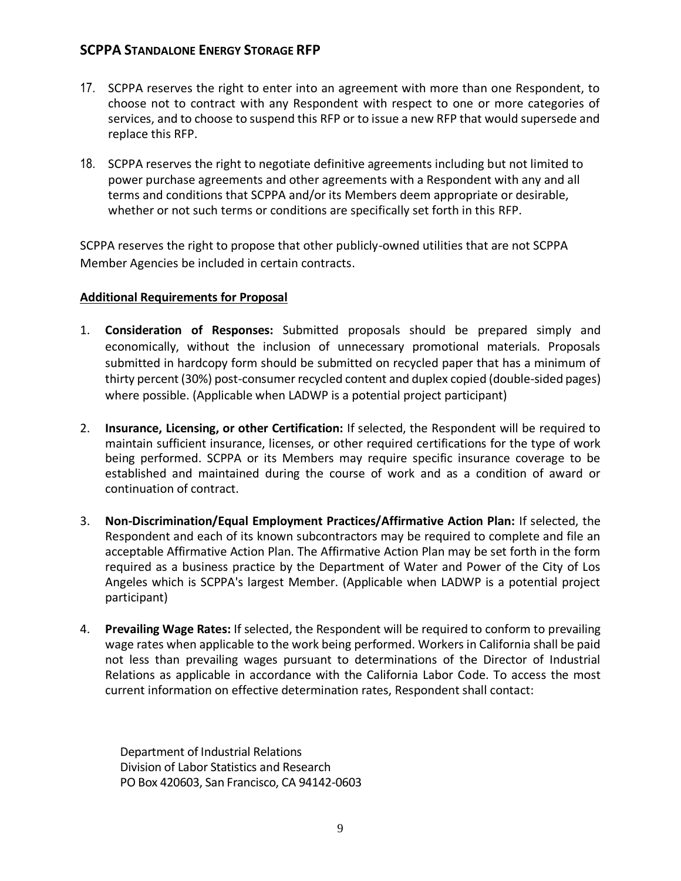- 17. SCPPA reserves the right to enter into an agreement with more than one Respondent, to choose not to contract with any Respondent with respect to one or more categories of services, and to choose to suspend this RFP or to issue a new RFP that would supersede and replace this RFP.
- 18. SCPPA reserves the right to negotiate definitive agreements including but not limited to power purchase agreements and other agreements with a Respondent with any and all terms and conditions that SCPPA and/or its Members deem appropriate or desirable, whether or not such terms or conditions are specifically set forth in this RFP.

SCPPA reserves the right to propose that other publicly-owned utilities that are not SCPPA Member Agencies be included in certain contracts.

#### **Additional Requirements for Proposal**

- 1. **Consideration of Responses:** Submitted proposals should be prepared simply and economically, without the inclusion of unnecessary promotional materials. Proposals submitted in hardcopy form should be submitted on recycled paper that has a minimum of thirty percent (30%) post-consumer recycled content and duplex copied (double-sided pages) where possible. (Applicable when LADWP is a potential project participant)
- 2. **Insurance, Licensing, or other Certification:** If selected, the Respondent will be required to maintain sufficient insurance, licenses, or other required certifications for the type of work being performed. SCPPA or its Members may require specific insurance coverage to be established and maintained during the course of work and as a condition of award or continuation of contract.
- 3. **Non-Discrimination/Equal Employment Practices/Affirmative Action Plan:** If selected, the Respondent and each of its known subcontractors may be required to complete and file an acceptable Affirmative Action Plan. The Affirmative Action Plan may be set forth in the form required as a business practice by the Department of Water and Power of the City of Los Angeles which is SCPPA's largest Member. (Applicable when LADWP is a potential project participant)
- 4. **Prevailing Wage Rates:** If selected, the Respondent will be required to conform to prevailing wage rates when applicable to the work being performed. Workers in California shall be paid not less than prevailing wages pursuant to determinations of the Director of Industrial Relations as applicable in accordance with the California Labor Code. To access the most current information on effective determination rates, Respondent shall contact:

Department of Industrial Relations Division of Labor Statistics and Research PO Box 420603, San Francisco, CA 94142-0603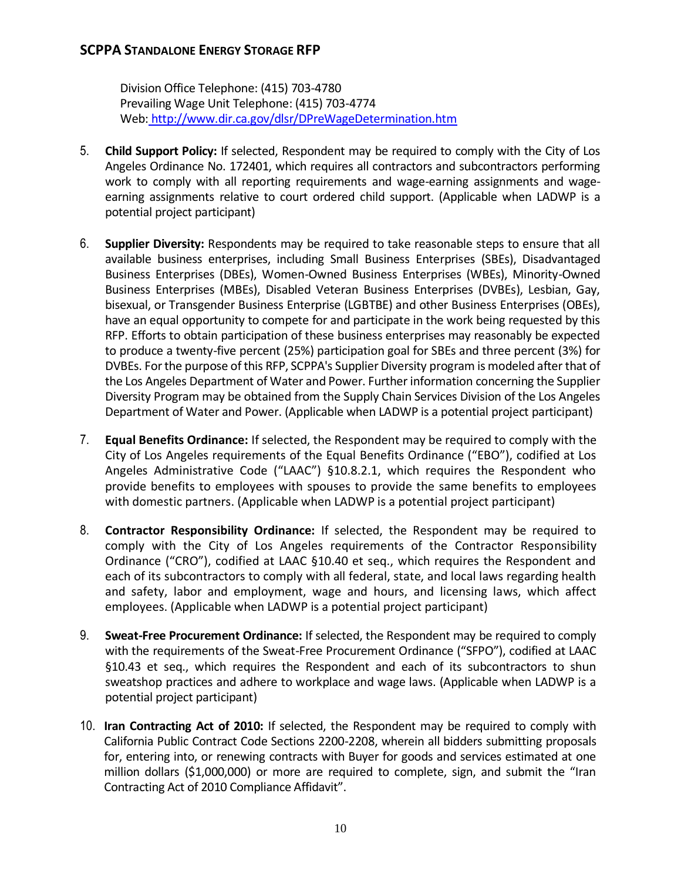Division Office Telephone: (415) 703-4780 Prevailing Wage Unit Telephone: (415) 703-4774 Web: <http://www.dir.ca.gov/dlsr/DPreWageDetermination.htm>

- 5. **Child Support Policy:** If selected, Respondent may be required to comply with the City of Los Angeles Ordinance No. 172401, which requires all contractors and subcontractors performing work to comply with all reporting requirements and wage-earning assignments and wageearning assignments relative to court ordered child support. (Applicable when LADWP is a potential project participant)
- 6. **Supplier Diversity:** Respondents may be required to take reasonable steps to ensure that all available business enterprises, including Small Business Enterprises (SBEs), Disadvantaged Business Enterprises (DBEs), Women-Owned Business Enterprises (WBEs), Minority-Owned Business Enterprises (MBEs), Disabled Veteran Business Enterprises (DVBEs), Lesbian, Gay, bisexual, or Transgender Business Enterprise (LGBTBE) and other Business Enterprises (OBEs), have an equal opportunity to compete for and participate in the work being requested by this RFP. Efforts to obtain participation of these business enterprises may reasonably be expected to produce a twenty-five percent (25%) participation goal for SBEs and three percent (3%) for DVBEs. For the purpose of this RFP, SCPPA's Supplier Diversity program is modeled after that of the Los Angeles Department of Water and Power. Further information concerning the Supplier Diversity Program may be obtained from the Supply Chain Services Division of the Los Angeles Department of Water and Power. (Applicable when LADWP is a potential project participant)
- 7. **Equal Benefits Ordinance:** If selected, the Respondent may be required to comply with the City of Los Angeles requirements of the Equal Benefits Ordinance ("EBO"), codified at Los Angeles Administrative Code ("LAAC") §10.8.2.1, which requires the Respondent who provide benefits to employees with spouses to provide the same benefits to employees with domestic partners. (Applicable when LADWP is a potential project participant)
- 8. **Contractor Responsibility Ordinance:** If selected, the Respondent may be required to comply with the City of Los Angeles requirements of the Contractor Responsibility Ordinance ("CRO"), codified at LAAC §10.40 et seq., which requires the Respondent and each of its subcontractors to comply with all federal, state, and local laws regarding health and safety, labor and employment, wage and hours, and licensing laws, which affect employees. (Applicable when LADWP is a potential project participant)
- 9. **Sweat-Free Procurement Ordinance:** If selected, the Respondent may be required to comply with the requirements of the Sweat-Free Procurement Ordinance ("SFPO"), codified at LAAC §10.43 et seq., which requires the Respondent and each of its subcontractors to shun sweatshop practices and adhere to workplace and wage laws. (Applicable when LADWP is a potential project participant)
- 10. **Iran Contracting Act of 2010:** If selected, the Respondent may be required to comply with California Public Contract Code Sections 2200-2208, wherein all bidders submitting proposals for, entering into, or renewing contracts with Buyer for goods and services estimated at one million dollars (\$1,000,000) or more are required to complete, sign, and submit the "Iran Contracting Act of 2010 Compliance Affidavit".